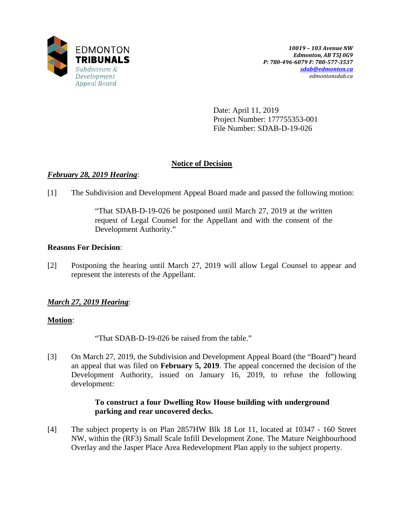

Date: April 11, 2019 Project Number: 177755353-001 File Number: SDAB-D-19-026

## **Notice of Decision**

## *February 28, 2019 Hearing*:

[1] The Subdivision and Development Appeal Board made and passed the following motion:

"That SDAB-D-19-026 be postponed until March 27, 2019 at the written request of Legal Counsel for the Appellant and with the consent of the Development Authority."

## **Reasons For Decision**:

[2] Postponing the hearing until March 27, 2019 will allow Legal Counsel to appear and represent the interests of the Appellant.

# *March 27, 2019 Hearing*:

## **Motion**:

"That SDAB-D-19-026 be raised from the table."

[3] On March 27, 2019, the Subdivision and Development Appeal Board (the "Board") heard an appeal that was filed on **February 5, 2019**. The appeal concerned the decision of the Development Authority, issued on January 16, 2019, to refuse the following development:

### **To construct a four Dwelling Row House building with underground parking and rear uncovered decks.**

[4] The subject property is on Plan 2857HW Blk 18 Lot 11, located at 10347 - 160 Street NW, within the (RF3) Small Scale Infill Development Zone. The Mature Neighbourhood Overlay and the Jasper Place Area Redevelopment Plan apply to the subject property.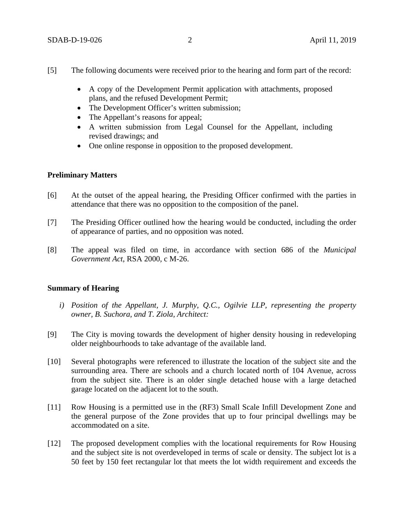- [5] The following documents were received prior to the hearing and form part of the record:
	- A copy of the Development Permit application with attachments, proposed plans, and the refused Development Permit;
	- The Development Officer's written submission;
	- The Appellant's reasons for appeal;
	- A written submission from Legal Counsel for the Appellant, including revised drawings; and
	- One online response in opposition to the proposed development.

#### **Preliminary Matters**

- [6] At the outset of the appeal hearing, the Presiding Officer confirmed with the parties in attendance that there was no opposition to the composition of the panel.
- [7] The Presiding Officer outlined how the hearing would be conducted, including the order of appearance of parties, and no opposition was noted.
- [8] The appeal was filed on time, in accordance with section 686 of the *Municipal Government Act*, RSA 2000, c M-26.

#### **Summary of Hearing**

- *i) Position of the Appellant, J. Murphy, Q.C., Ogilvie LLP, representing the property owner, B. Suchora, and T. Ziola, Architect:*
- [9] The City is moving towards the development of higher density housing in redeveloping older neighbourhoods to take advantage of the available land.
- [10] Several photographs were referenced to illustrate the location of the subject site and the surrounding area. There are schools and a church located north of 104 Avenue, across from the subject site. There is an older single detached house with a large detached garage located on the adjacent lot to the south.
- [11] Row Housing is a permitted use in the (RF3) Small Scale Infill Development Zone and the general purpose of the Zone provides that up to four principal dwellings may be accommodated on a site.
- [12] The proposed development complies with the locational requirements for Row Housing and the subject site is not overdeveloped in terms of scale or density. The subject lot is a 50 feet by 150 feet rectangular lot that meets the lot width requirement and exceeds the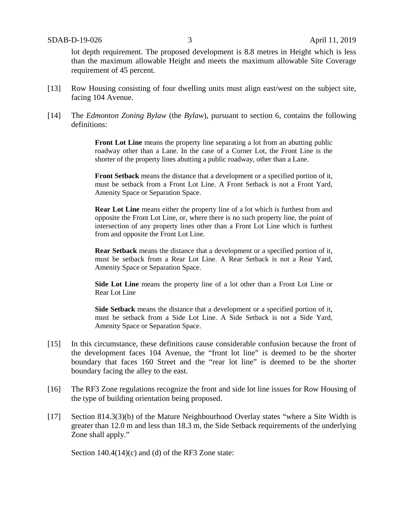lot depth requirement. The proposed development is 8.8 metres in Height which is less than the maximum allowable Height and meets the maximum allowable Site Coverage requirement of 45 percent.

- [13] Row Housing consisting of four dwelling units must align east/west on the subject site, facing 104 Avenue.
- [14] The *Edmonton Zoning Bylaw* (the *Bylaw*), pursuant to section 6, contains the following definitions:

**Front Lot Line** means the property line separating a lot from an abutting public roadway other than a Lane. In the case of a Corner Lot, the Front Line is the shorter of the property lines abutting a public roadway, other than a Lane.

**Front Setback** means the distance that a development or a specified portion of it, must be setback from a Front Lot Line. A Front Setback is not a Front Yard, Amenity Space or Separation Space.

**Rear Lot Line** means either the property line of a lot which is furthest from and opposite the Front Lot Line, or, where there is no such property line, the point of intersection of any property lines other than a Front Lot Line which is furthest from and opposite the Front Lot Line.

**Rear Setback** means the distance that a development or a specified portion of it, must be setback from a Rear Lot Line. A Rear Setback is not a Rear Yard, Amenity Space or Separation Space.

**Side Lot Line** means the property line of a lot other than a Front Lot Line or Rear Lot Line

**Side Setback** means the distance that a development or a specified portion of it, must be setback from a Side Lot Line. A Side Setback is not a Side Yard, Amenity Space or Separation Space.

- [15] In this circumstance, these definitions cause considerable confusion because the front of the development faces 104 Avenue, the "front lot line" is deemed to be the shorter boundary that faces 160 Street and the "rear lot line" is deemed to be the shorter boundary facing the alley to the east.
- [16] The RF3 Zone regulations recognize the front and side lot line issues for Row Housing of the type of building orientation being proposed.
- [17] Section 814.3(3)(b) of the Mature Neighbourhood Overlay states "where a Site Width is greater than 12.0 m and less than 18.3 m, the Side Setback requirements of the underlying Zone shall apply."

Section 140.4(14)(c) and (d) of the RF3 Zone state: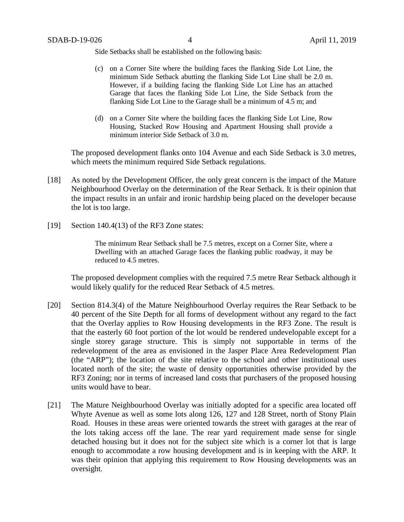Side Setbacks shall be established on the following basis:

- (c) on a Corner Site where the building faces the flanking Side Lot Line, the minimum Side Setback abutting the flanking Side Lot Line shall be 2.0 m. However, if a building facing the flanking Side Lot Line has an attached Garage that faces the flanking Side Lot Line, the Side Setback from the flanking Side Lot Line to the Garage shall be a minimum of 4.5 m; and
- (d) on a Corner Site where the building faces the flanking Side Lot Line, Row Housing, Stacked Row Housing and Apartment Housing shall provide a minimum interior Side Setback of 3.0 m.

The proposed development flanks onto 104 Avenue and each Side Setback is 3.0 metres, which meets the minimum required Side Setback regulations.

- [18] As noted by the Development Officer, the only great concern is the impact of the Mature Neighbourhood Overlay on the determination of the Rear Setback. It is their opinion that the impact results in an unfair and ironic hardship being placed on the developer because the lot is too large.
- [19] Section 140.4(13) of the RF3 Zone states:

The minimum Rear Setback shall be 7.5 metres, except on a Corner Site, where a Dwelling with an attached Garage faces the flanking public roadway, it may be reduced to 4.5 metres.

The proposed development complies with the required 7.5 metre Rear Setback although it would likely qualify for the reduced Rear Setback of 4.5 metres.

- [20] Section 814.3(4) of the Mature Neighbourhood Overlay requires the Rear Setback to be 40 percent of the Site Depth for all forms of development without any regard to the fact that the Overlay applies to Row Housing developments in the RF3 Zone. The result is that the easterly 60 foot portion of the lot would be rendered undevelopable except for a single storey garage structure. This is simply not supportable in terms of the redevelopment of the area as envisioned in the Jasper Place Area Redevelopment Plan (the "ARP"); the location of the site relative to the school and other institutional uses located north of the site; the waste of density opportunities otherwise provided by the RF3 Zoning; nor in terms of increased land costs that purchasers of the proposed housing units would have to bear.
- [21] The Mature Neighbourhood Overlay was initially adopted for a specific area located off Whyte Avenue as well as some lots along 126, 127 and 128 Street, north of Stony Plain Road. Houses in these areas were oriented towards the street with garages at the rear of the lots taking access off the lane. The rear yard requirement made sense for single detached housing but it does not for the subject site which is a corner lot that is large enough to accommodate a row housing development and is in keeping with the ARP. It was their opinion that applying this requirement to Row Housing developments was an oversight.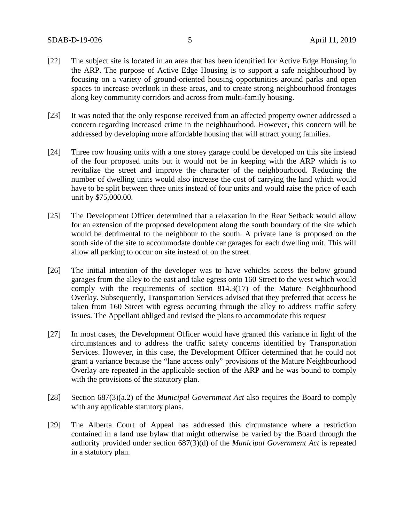- [22] The subject site is located in an area that has been identified for Active Edge Housing in the ARP. The purpose of Active Edge Housing is to support a safe neighbourhood by focusing on a variety of ground-oriented housing opportunities around parks and open spaces to increase overlook in these areas, and to create strong neighbourhood frontages along key community corridors and across from multi-family housing.
- [23] It was noted that the only response received from an affected property owner addressed a concern regarding increased crime in the neighbourhood. However, this concern will be addressed by developing more affordable housing that will attract young families.
- [24] Three row housing units with a one storey garage could be developed on this site instead of the four proposed units but it would not be in keeping with the ARP which is to revitalize the street and improve the character of the neighbourhood. Reducing the number of dwelling units would also increase the cost of carrying the land which would have to be split between three units instead of four units and would raise the price of each unit by \$75,000.00.
- [25] The Development Officer determined that a relaxation in the Rear Setback would allow for an extension of the proposed development along the south boundary of the site which would be detrimental to the neighbour to the south. A private lane is proposed on the south side of the site to accommodate double car garages for each dwelling unit. This will allow all parking to occur on site instead of on the street.
- [26] The initial intention of the developer was to have vehicles access the below ground garages from the alley to the east and take egress onto 160 Street to the west which would comply with the requirements of section 814.3(17) of the Mature Neighbourhood Overlay. Subsequently, Transportation Services advised that they preferred that access be taken from 160 Street with egress occurring through the alley to address traffic safety issues. The Appellant obliged and revised the plans to accommodate this request
- [27] In most cases, the Development Officer would have granted this variance in light of the circumstances and to address the traffic safety concerns identified by Transportation Services. However, in this case, the Development Officer determined that he could not grant a variance because the "lane access only" provisions of the Mature Neighbourhood Overlay are repeated in the applicable section of the ARP and he was bound to comply with the provisions of the statutory plan.
- [28] Section 687(3)(a.2) of the *Municipal Government Act* also requires the Board to comply with any applicable statutory plans.
- [29] The Alberta Court of Appeal has addressed this circumstance where a restriction contained in a land use bylaw that might otherwise be varied by the Board through the authority provided under section 687(3)(d) of the *Municipal Government Act* is repeated in a statutory plan.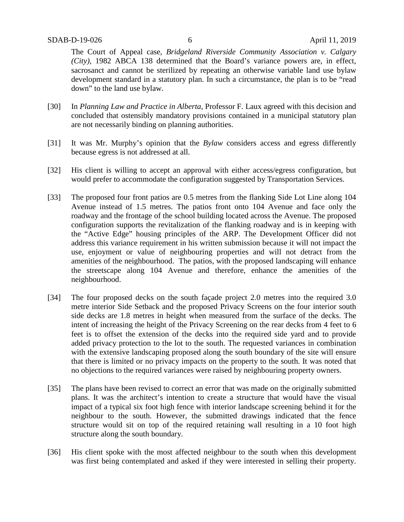The Court of Appeal case, *Bridgeland Riverside Community Association v. Calgary (City)*, 1982 ABCA 138 determined that the Board's variance powers are, in effect, sacrosanct and cannot be sterilized by repeating an otherwise variable land use bylaw development standard in a statutory plan. In such a circumstance, the plan is to be "read down" to the land use bylaw.

- [30] In *Planning Law and Practice in Alberta*, Professor F. Laux agreed with this decision and concluded that ostensibly mandatory provisions contained in a municipal statutory plan are not necessarily binding on planning authorities.
- [31] It was Mr. Murphy's opinion that the *Bylaw* considers access and egress differently because egress is not addressed at all.
- [32] His client is willing to accept an approval with either access/egress configuration, but would prefer to accommodate the configuration suggested by Transportation Services.
- [33] The proposed four front patios are 0.5 metres from the flanking Side Lot Line along 104 Avenue instead of 1.5 metres. The patios front onto 104 Avenue and face only the roadway and the frontage of the school building located across the Avenue. The proposed configuration supports the revitalization of the flanking roadway and is in keeping with the "Active Edge" housing principles of the ARP. The Development Officer did not address this variance requirement in his written submission because it will not impact the use, enjoyment or value of neighbouring properties and will not detract from the amenities of the neighbourhood. The patios, with the proposed landscaping will enhance the streetscape along 104 Avenue and therefore, enhance the amenities of the neighbourhood.
- [34] The four proposed decks on the south façade project 2.0 metres into the required 3.0 metre interior Side Setback and the proposed Privacy Screens on the four interior south side decks are 1.8 metres in height when measured from the surface of the decks. The intent of increasing the height of the Privacy Screening on the rear decks from 4 feet to 6 feet is to offset the extension of the decks into the required side yard and to provide added privacy protection to the lot to the south. The requested variances in combination with the extensive landscaping proposed along the south boundary of the site will ensure that there is limited or no privacy impacts on the property to the south. It was noted that no objections to the required variances were raised by neighbouring property owners.
- [35] The plans have been revised to correct an error that was made on the originally submitted plans. It was the architect's intention to create a structure that would have the visual impact of a typical six foot high fence with interior landscape screening behind it for the neighbour to the south. However, the submitted drawings indicated that the fence structure would sit on top of the required retaining wall resulting in a 10 foot high structure along the south boundary.
- [36] His client spoke with the most affected neighbour to the south when this development was first being contemplated and asked if they were interested in selling their property.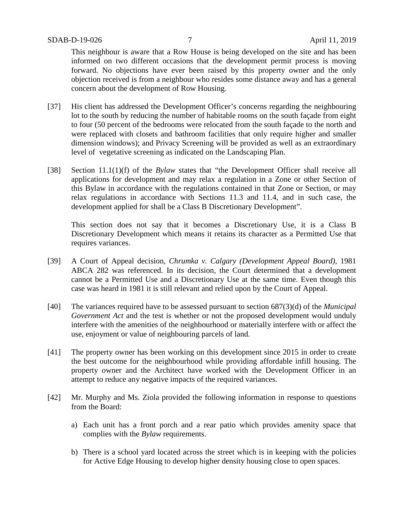This neighbour is aware that a Row House is being developed on the site and has been informed on two different occasions that the development permit process is moving forward. No objections have ever been raised by this property owner and the only objection received is from a neighbour who resides some distance away and has a general concern about the development of Row Housing.

- [37] His client has addressed the Development Officer's concerns regarding the neighbouring lot to the south by reducing the number of habitable rooms on the south façade from eight to four (50 percent of the bedrooms were relocated from the south façade to the north and were replaced with closets and bathroom facilities that only require higher and smaller dimension windows); and Privacy Screening will be provided as well as an extraordinary level of vegetative screening as indicated on the Landscaping Plan.
- [38] Section 11.1(1)(f) of the *Bylaw* states that "the Development Officer shall receive all applications for development and may relax a regulation in a Zone or other Section of this Bylaw in accordance with the regulations contained in that Zone or Section, or may relax regulations in accordance with Sections 11.3 and 11.4, and in such case, the development applied for shall be a Class B Discretionary Development".

This section does not say that it becomes a Discretionary Use, it is a Class B Discretionary Development which means it retains its character as a Permitted Use that requires variances.

- [39] A Court of Appeal decision, *Chrumka v. Calgary (Development Appeal Board),* 1981 ABCA 282 was referenced. In its decision, the Court determined that a development cannot be a Permitted Use and a Discretionary Use at the same time. Even though this case was heard in 1981 it is still relevant and relied upon by the Court of Appeal.
- [40] The variances required have to be assessed pursuant to section 687(3)(d) of the *Municipal Government Act* and the test is whether or not the proposed development would unduly interfere with the amenities of the neighbourhood or materially interfere with or affect the use, enjoyment or value of neighbouring parcels of land.
- [41] The property owner has been working on this development since 2015 in order to create the best outcome for the neighbourhood while providing affordable infill housing. The property owner and the Architect have worked with the Development Officer in an attempt to reduce any negative impacts of the required variances.
- [42] Mr. Murphy and Ms. Ziola provided the following information in response to questions from the Board:
	- a) Each unit has a front porch and a rear patio which provides amenity space that complies with the *Bylaw* requirements.
	- b) There is a school yard located across the street which is in keeping with the policies for Active Edge Housing to develop higher density housing close to open spaces.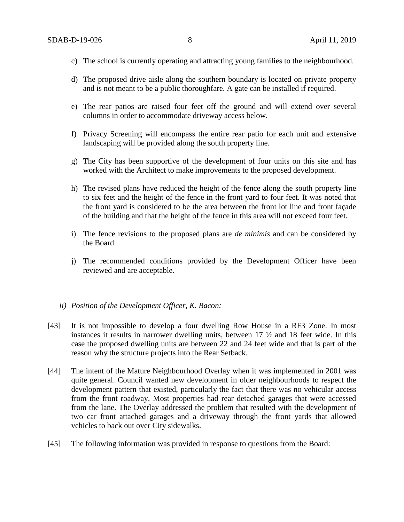- c) The school is currently operating and attracting young families to the neighbourhood.
- d) The proposed drive aisle along the southern boundary is located on private property and is not meant to be a public thoroughfare. A gate can be installed if required.
- e) The rear patios are raised four feet off the ground and will extend over several columns in order to accommodate driveway access below.
- f) Privacy Screening will encompass the entire rear patio for each unit and extensive landscaping will be provided along the south property line.
- g) The City has been supportive of the development of four units on this site and has worked with the Architect to make improvements to the proposed development.
- h) The revised plans have reduced the height of the fence along the south property line to six feet and the height of the fence in the front yard to four feet. It was noted that the front yard is considered to be the area between the front lot line and front façade of the building and that the height of the fence in this area will not exceed four feet.
- i) The fence revisions to the proposed plans are *de minimis* and can be considered by the Board.
- j) The recommended conditions provided by the Development Officer have been reviewed and are acceptable.

#### *ii) Position of the Development Officer, K. Bacon:*

- [43] It is not impossible to develop a four dwelling Row House in a RF3 Zone. In most instances it results in narrower dwelling units, between 17 ½ and 18 feet wide. In this case the proposed dwelling units are between 22 and 24 feet wide and that is part of the reason why the structure projects into the Rear Setback.
- [44] The intent of the Mature Neighbourhood Overlay when it was implemented in 2001 was quite general. Council wanted new development in older neighbourhoods to respect the development pattern that existed, particularly the fact that there was no vehicular access from the front roadway. Most properties had rear detached garages that were accessed from the lane. The Overlay addressed the problem that resulted with the development of two car front attached garages and a driveway through the front yards that allowed vehicles to back out over City sidewalks.
- [45] The following information was provided in response to questions from the Board: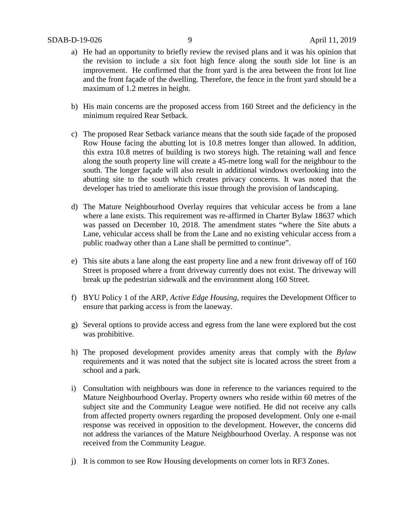- a) He had an opportunity to briefly review the revised plans and it was his opinion that the revision to include a six foot high fence along the south side lot line is an improvement. He confirmed that the front yard is the area between the front lot line and the front façade of the dwelling. Therefore, the fence in the front yard should be a maximum of 1.2 metres in height.
- b) His main concerns are the proposed access from 160 Street and the deficiency in the minimum required Rear Setback.
- c) The proposed Rear Setback variance means that the south side façade of the proposed Row House facing the abutting lot is 10.8 metres longer than allowed. In addition, this extra 10.8 metres of building is two storeys high. The retaining wall and fence along the south property line will create a 45-metre long wall for the neighbour to the south. The longer façade will also result in additional windows overlooking into the abutting site to the south which creates privacy concerns. It was noted that the developer has tried to ameliorate this issue through the provision of landscaping.
- d) The Mature Neighbourhood Overlay requires that vehicular access be from a lane where a lane exists. This requirement was re-affirmed in Charter Bylaw 18637 which was passed on December 10, 2018. The amendment states "where the Site abuts a Lane, vehicular access shall be from the Lane and no existing vehicular access from a public roadway other than a Lane shall be permitted to continue".
- e) This site abuts a lane along the east property line and a new front driveway off of 160 Street is proposed where a front driveway currently does not exist. The driveway will break up the pedestrian sidewalk and the environment along 160 Street.
- f) BYU Policy 1 of the ARP, *Active Edge Housing*, requires the Development Officer to ensure that parking access is from the laneway.
- g) Several options to provide access and egress from the lane were explored but the cost was prohibitive.
- h) The proposed development provides amenity areas that comply with the *Bylaw* requirements and it was noted that the subject site is located across the street from a school and a park.
- i) Consultation with neighbours was done in reference to the variances required to the Mature Neighbourhood Overlay. Property owners who reside within 60 metres of the subject site and the Community League were notified. He did not receive any calls from affected property owners regarding the proposed development. Only one e-mail response was received in opposition to the development. However, the concerns did not address the variances of the Mature Neighbourhood Overlay. A response was not received from the Community League.
- j) It is common to see Row Housing developments on corner lots in RF3 Zones.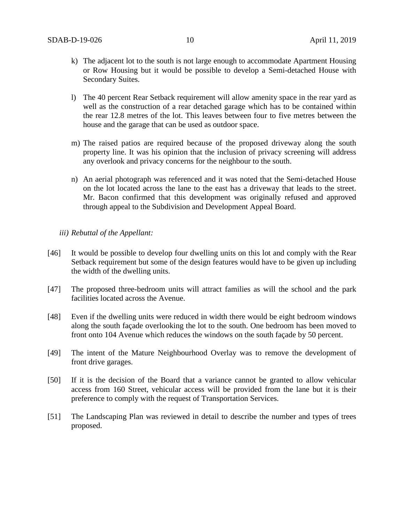- k) The adjacent lot to the south is not large enough to accommodate Apartment Housing or Row Housing but it would be possible to develop a Semi-detached House with Secondary Suites.
- l) The 40 percent Rear Setback requirement will allow amenity space in the rear yard as well as the construction of a rear detached garage which has to be contained within the rear 12.8 metres of the lot. This leaves between four to five metres between the house and the garage that can be used as outdoor space.
- m) The raised patios are required because of the proposed driveway along the south property line. It was his opinion that the inclusion of privacy screening will address any overlook and privacy concerns for the neighbour to the south.
- n) An aerial photograph was referenced and it was noted that the Semi-detached House on the lot located across the lane to the east has a driveway that leads to the street. Mr. Bacon confirmed that this development was originally refused and approved through appeal to the Subdivision and Development Appeal Board.
- *iii) Rebuttal of the Appellant:*
- [46] It would be possible to develop four dwelling units on this lot and comply with the Rear Setback requirement but some of the design features would have to be given up including the width of the dwelling units.
- [47] The proposed three-bedroom units will attract families as will the school and the park facilities located across the Avenue.
- [48] Even if the dwelling units were reduced in width there would be eight bedroom windows along the south façade overlooking the lot to the south. One bedroom has been moved to front onto 104 Avenue which reduces the windows on the south façade by 50 percent.
- [49] The intent of the Mature Neighbourhood Overlay was to remove the development of front drive garages.
- [50] If it is the decision of the Board that a variance cannot be granted to allow vehicular access from 160 Street, vehicular access will be provided from the lane but it is their preference to comply with the request of Transportation Services.
- [51] The Landscaping Plan was reviewed in detail to describe the number and types of trees proposed.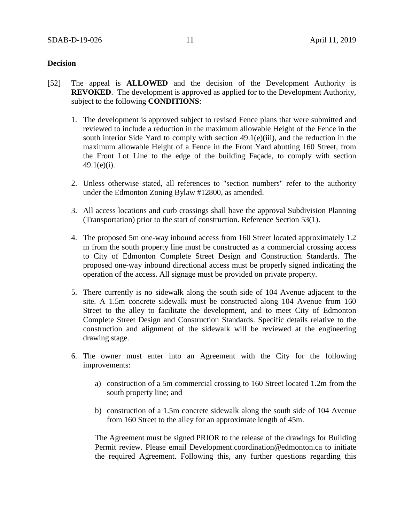### **Decision**

- [52] The appeal is **ALLOWED** and the decision of the Development Authority is **REVOKED**. The development is approved as applied for to the Development Authority, subject to the following **CONDITIONS**:
	- 1. The development is approved subject to revised Fence plans that were submitted and reviewed to include a reduction in the maximum allowable Height of the Fence in the south interior Side Yard to comply with section 49.1(e)(iii)*,* and the reduction in the maximum allowable Height of a Fence in the Front Yard abutting 160 Street, from the Front Lot Line to the edge of the building Façade, to comply with section  $49.1(e)(i)$ .
	- 2. Unless otherwise stated, all references to "section numbers" refer to the authority under the Edmonton Zoning Bylaw #12800, as amended.
	- 3. All access locations and curb crossings shall have the approval Subdivision Planning (Transportation) prior to the start of construction. Reference Section 53(1).
	- 4. The proposed 5m one-way inbound access from 160 Street located approximately 1.2 m from the south property line must be constructed as a commercial crossing access to City of Edmonton Complete Street Design and Construction Standards. The proposed one-way inbound directional access must be properly signed indicating the operation of the access. All signage must be provided on private property.
	- 5. There currently is no sidewalk along the south side of 104 Avenue adjacent to the site. A 1.5m concrete sidewalk must be constructed along 104 Avenue from 160 Street to the alley to facilitate the development, and to meet City of Edmonton Complete Street Design and Construction Standards. Specific details relative to the construction and alignment of the sidewalk will be reviewed at the engineering drawing stage.
	- 6. The owner must enter into an Agreement with the City for the following improvements:
		- a) construction of a 5m commercial crossing to 160 Street located 1.2m from the south property line; and
		- b) construction of a 1.5m concrete sidewalk along the south side of 104 Avenue from 160 Street to the alley for an approximate length of 45m.

The Agreement must be signed PRIOR to the release of the drawings for Building Permit review. Please email Development.coordination@edmonton.ca to initiate the required Agreement. Following this, any further questions regarding this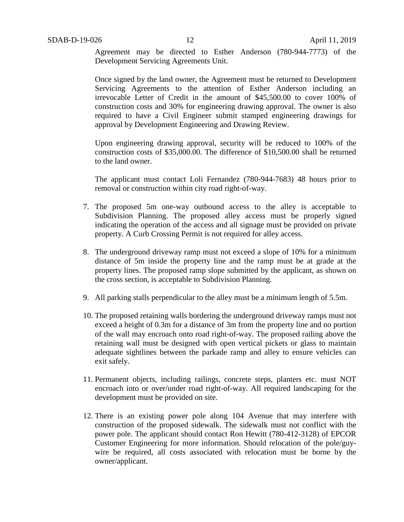Agreement may be directed to Esther Anderson (780-944-7773) of the Development Servicing Agreements Unit.

Once signed by the land owner, the Agreement must be returned to Development Servicing Agreements to the attention of Esther Anderson including an irrevocable Letter of Credit in the amount of \$45,500.00 to cover 100% of construction costs and 30% for engineering drawing approval. The owner is also required to have a Civil Engineer submit stamped engineering drawings for approval by Development Engineering and Drawing Review.

Upon engineering drawing approval, security will be reduced to 100% of the construction costs of \$35,000.00. The difference of \$10,500.00 shall be returned to the land owner.

The applicant must contact Loli Fernandez (780-944-7683) 48 hours prior to removal or construction within city road right-of-way.

- 7. The proposed 5m one-way outbound access to the alley is acceptable to Subdivision Planning. The proposed alley access must be properly signed indicating the operation of the access and all signage must be provided on private property. A Curb Crossing Permit is not required for alley access.
- 8. The underground driveway ramp must not exceed a slope of 10% for a minimum distance of 5m inside the property line and the ramp must be at grade at the property lines. The proposed ramp slope submitted by the applicant, as shown on the cross section, is acceptable to Subdivision Planning.
- 9. All parking stalls perpendicular to the alley must be a minimum length of 5.5m.
- 10. The proposed retaining walls bordering the underground driveway ramps must not exceed a height of 0.3m for a distance of 3m from the property line and no portion of the wall may encroach onto road right-of-way. The proposed railing above the retaining wall must be designed with open vertical pickets or glass to maintain adequate sightlines between the parkade ramp and alley to ensure vehicles can exit safely.
- 11. Permanent objects, including railings, concrete steps, planters etc. must NOT encroach into or over/under road right-of-way. All required landscaping for the development must be provided on site.
- 12. There is an existing power pole along 104 Avenue that may interfere with construction of the proposed sidewalk. The sidewalk must not conflict with the power pole. The applicant should contact Ron Hewitt (780-412-3128) of EPCOR Customer Engineering for more information. Should relocation of the pole/guywire be required, all costs associated with relocation must be borne by the owner/applicant.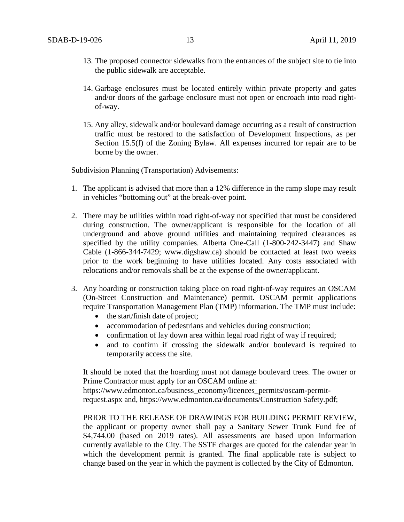- 13. The proposed connector sidewalks from the entrances of the subject site to tie into the public sidewalk are acceptable.
- 14. Garbage enclosures must be located entirely within private property and gates and/or doors of the garbage enclosure must not open or encroach into road rightof-way.
- 15. Any alley, sidewalk and/or boulevard damage occurring as a result of construction traffic must be restored to the satisfaction of Development Inspections, as per Section 15.5(f) of the Zoning Bylaw. All expenses incurred for repair are to be borne by the owner.

Subdivision Planning (Transportation) Advisements:

- 1. The applicant is advised that more than a 12% difference in the ramp slope may result in vehicles "bottoming out" at the break-over point.
- 2. There may be utilities within road right-of-way not specified that must be considered during construction. The owner/applicant is responsible for the location of all underground and above ground utilities and maintaining required clearances as specified by the utility companies. Alberta One-Call (1-800-242-3447) and Shaw Cable (1-866-344-7429; www.digshaw.ca) should be contacted at least two weeks prior to the work beginning to have utilities located. Any costs associated with relocations and/or removals shall be at the expense of the owner/applicant.
- 3. Any hoarding or construction taking place on road right-of-way requires an OSCAM (On-Street Construction and Maintenance) permit. OSCAM permit applications require Transportation Management Plan (TMP) information. The TMP must include:
	- the start/finish date of project;
	- accommodation of pedestrians and vehicles during construction;
	- confirmation of lay down area within legal road right of way if required;
	- and to confirm if crossing the sidewalk and/or boulevard is required to temporarily access the site.

It should be noted that the hoarding must not damage boulevard trees. The owner or Prime Contractor must apply for an OSCAM online at:

https://www.edmonton.ca/business\_economy/licences\_permits/oscam-permitrequest.aspx and,<https://www.edmonton.ca/documents/Construction> Safety.pdf;

PRIOR TO THE RELEASE OF DRAWINGS FOR BUILDING PERMIT REVIEW, the applicant or property owner shall pay a Sanitary Sewer Trunk Fund fee of \$4,744.00 (based on 2019 rates). All assessments are based upon information currently available to the City. The SSTF charges are quoted for the calendar year in which the development permit is granted. The final applicable rate is subject to change based on the year in which the payment is collected by the City of Edmonton.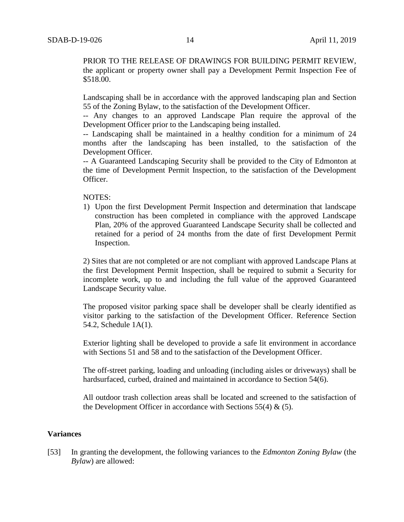PRIOR TO THE RELEASE OF DRAWINGS FOR BUILDING PERMIT REVIEW, the applicant or property owner shall pay a Development Permit Inspection Fee of \$518.00.

Landscaping shall be in accordance with the approved landscaping plan and Section 55 of the Zoning Bylaw, to the satisfaction of the Development Officer.

-- Any changes to an approved Landscape Plan require the approval of the Development Officer prior to the Landscaping being installed.

-- Landscaping shall be maintained in a healthy condition for a minimum of 24 months after the landscaping has been installed, to the satisfaction of the Development Officer.

-- A Guaranteed Landscaping Security shall be provided to the City of Edmonton at the time of Development Permit Inspection, to the satisfaction of the Development Officer.

NOTES:

1) Upon the first Development Permit Inspection and determination that landscape construction has been completed in compliance with the approved Landscape Plan, 20% of the approved Guaranteed Landscape Security shall be collected and retained for a period of 24 months from the date of first Development Permit Inspection.

2) Sites that are not completed or are not compliant with approved Landscape Plans at the first Development Permit Inspection, shall be required to submit a Security for incomplete work, up to and including the full value of the approved Guaranteed Landscape Security value.

The proposed visitor parking space shall be developer shall be clearly identified as visitor parking to the satisfaction of the Development Officer. Reference Section 54.2, Schedule 1A(1).

Exterior lighting shall be developed to provide a safe lit environment in accordance with Sections 51 and 58 and to the satisfaction of the Development Officer.

The off-street parking, loading and unloading (including aisles or driveways) shall be hardsurfaced, curbed, drained and maintained in accordance to Section 54(6).

All outdoor trash collection areas shall be located and screened to the satisfaction of the Development Officer in accordance with Sections 55(4)  $\&$  (5).

#### **Variances**

[53] In granting the development, the following variances to the *Edmonton Zoning Bylaw* (the *Bylaw*) are allowed: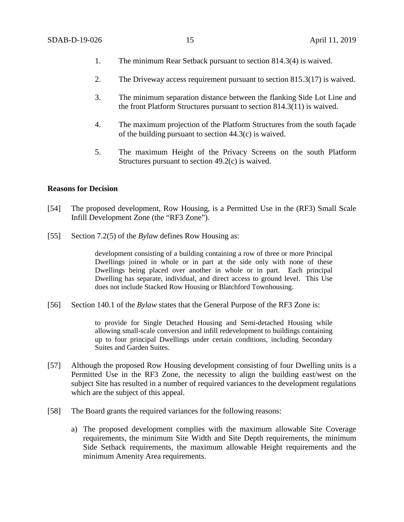- 1. The minimum Rear Setback pursuant to section 814.3(4) is waived.
- 2. The Driveway access requirement pursuant to section 815.3(17) is waived.
- 3. The minimum separation distance between the flanking Side Lot Line and the front Platform Structures pursuant to section 814.3(11) is waived.
- 4. The maximum projection of the Platform Structures from the south façade of the building pursuant to section 44.3(c) is waived.
- 5. The maximum Height of the Privacy Screens on the south Platform Structures pursuant to section 49.2(c) is waived.

### **Reasons for Decision**

- [54] The proposed development, Row Housing, is a Permitted Use in the (RF3) Small Scale Infill Development Zone (the "RF3 Zone").
- [55] Section 7.2(5) of the *Bylaw* defines Row Housing as:

development consisting of a building containing a row of three or more Principal Dwellings joined in whole or in part at the side only with none of these Dwellings being placed over another in whole or in part. Each principal Dwelling has separate, individual, and direct access to ground level. This Use does not include Stacked Row Housing or Blatchford Townhousing.

[56] Section 140.1 of the *Bylaw* states that the General Purpose of the RF3 Zone is:

to provide for Single Detached Housing and Semi-detached Housing while allowing small-scale conversion and infill redevelopment to buildings containing up to four principal Dwellings under certain conditions, including Secondary Suites and Garden Suites.

- [57] Although the proposed Row Housing development consisting of four Dwelling units is a Permitted Use in the RF3 Zone, the necessity to align the building east/west on the subject Site has resulted in a number of required variances to the development regulations which are the subject of this appeal.
- [58] The Board grants the required variances for the following reasons:
	- a) The proposed development complies with the maximum allowable Site Coverage requirements, the minimum Site Width and Site Depth requirements, the minimum Side Setback requirements, the maximum allowable Height requirements and the minimum Amenity Area requirements.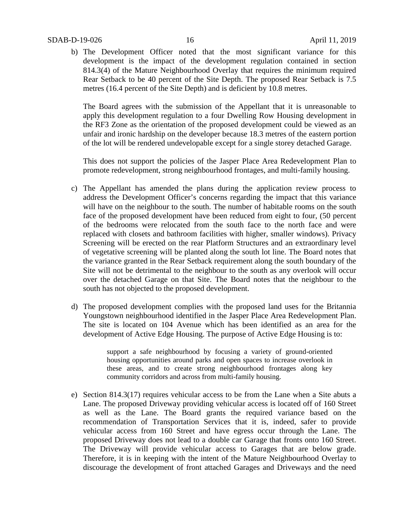#### SDAB-D-19-026 16 April 11, 2019

b) The Development Officer noted that the most significant variance for this development is the impact of the development regulation contained in section 814.3(4) of the Mature Neighbourhood Overlay that requires the minimum required Rear Setback to be 40 percent of the Site Depth. The proposed Rear Setback is 7.5 metres (16.4 percent of the Site Depth) and is deficient by 10.8 metres.

The Board agrees with the submission of the Appellant that it is unreasonable to apply this development regulation to a four Dwelling Row Housing development in the RF3 Zone as the orientation of the proposed development could be viewed as an unfair and ironic hardship on the developer because 18.3 metres of the eastern portion of the lot will be rendered undevelopable except for a single storey detached Garage.

This does not support the policies of the Jasper Place Area Redevelopment Plan to promote redevelopment, strong neighbourhood frontages, and multi-family housing.

- c) The Appellant has amended the plans during the application review process to address the Development Officer's concerns regarding the impact that this variance will have on the neighbour to the south. The number of habitable rooms on the south face of the proposed development have been reduced from eight to four, (50 percent of the bedrooms were relocated from the south face to the north face and were replaced with closets and bathroom facilities with higher, smaller windows). Privacy Screening will be erected on the rear Platform Structures and an extraordinary level of vegetative screening will be planted along the south lot line. The Board notes that the variance granted in the Rear Setback requirement along the south boundary of the Site will not be detrimental to the neighbour to the south as any overlook will occur over the detached Garage on that Site. The Board notes that the neighbour to the south has not objected to the proposed development.
- d) The proposed development complies with the proposed land uses for the Britannia Youngstown neighbourhood identified in the Jasper Place Area Redevelopment Plan. The site is located on 104 Avenue which has been identified as an area for the development of Active Edge Housing. The purpose of Active Edge Housing is to:

support a safe neighbourhood by focusing a variety of ground-oriented housing opportunities around parks and open spaces to increase overlook in these areas, and to create strong neighbourhood frontages along key community corridors and across from multi-family housing.

e) Section 814.3(17) requires vehicular access to be from the Lane when a Site abuts a Lane. The proposed Driveway providing vehicular access is located off of 160 Street as well as the Lane. The Board grants the required variance based on the recommendation of Transportation Services that it is, indeed, safer to provide vehicular access from 160 Street and have egress occur through the Lane. The proposed Driveway does not lead to a double car Garage that fronts onto 160 Street. The Driveway will provide vehicular access to Garages that are below grade. Therefore, it is in keeping with the intent of the Mature Neighbourhood Overlay to discourage the development of front attached Garages and Driveways and the need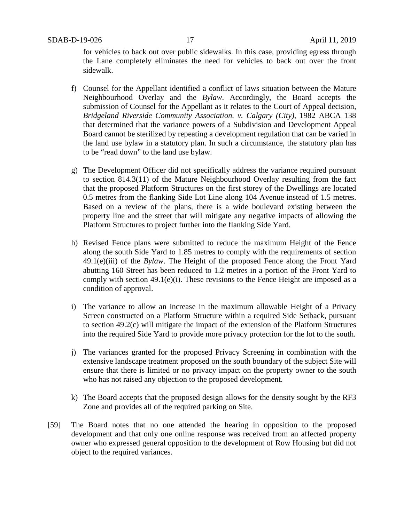for vehicles to back out over public sidewalks. In this case, providing egress through the Lane completely eliminates the need for vehicles to back out over the front sidewalk.

- f) Counsel for the Appellant identified a conflict of laws situation between the Mature Neighbourhood Overlay and the *Bylaw*. Accordingly, the Board accepts the submission of Counsel for the Appellant as it relates to the Court of Appeal decision*, Bridgeland Riverside Community Association. v. Calgary (City)*, 1982 ABCA 138 that determined that the variance powers of a Subdivision and Development Appeal Board cannot be sterilized by repeating a development regulation that can be varied in the land use bylaw in a statutory plan. In such a circumstance, the statutory plan has to be "read down" to the land use bylaw.
- g) The Development Officer did not specifically address the variance required pursuant to section 814.3(11) of the Mature Neighbourhood Overlay resulting from the fact that the proposed Platform Structures on the first storey of the Dwellings are located 0.5 metres from the flanking Side Lot Line along 104 Avenue instead of 1.5 metres. Based on a review of the plans, there is a wide boulevard existing between the property line and the street that will mitigate any negative impacts of allowing the Platform Structures to project further into the flanking Side Yard.
- h) Revised Fence plans were submitted to reduce the maximum Height of the Fence along the south Side Yard to 1.85 metres to comply with the requirements of section 49.1(e)(iii) of the *Bylaw*. The Height of the proposed Fence along the Front Yard abutting 160 Street has been reduced to 1.2 metres in a portion of the Front Yard to comply with section 49.1(e)(i). These revisions to the Fence Height are imposed as a condition of approval.
- i) The variance to allow an increase in the maximum allowable Height of a Privacy Screen constructed on a Platform Structure within a required Side Setback, pursuant to section 49.2(c) will mitigate the impact of the extension of the Platform Structures into the required Side Yard to provide more privacy protection for the lot to the south.
- j) The variances granted for the proposed Privacy Screening in combination with the extensive landscape treatment proposed on the south boundary of the subject Site will ensure that there is limited or no privacy impact on the property owner to the south who has not raised any objection to the proposed development.
- k) The Board accepts that the proposed design allows for the density sought by the RF3 Zone and provides all of the required parking on Site.
- [59] The Board notes that no one attended the hearing in opposition to the proposed development and that only one online response was received from an affected property owner who expressed general opposition to the development of Row Housing but did not object to the required variances.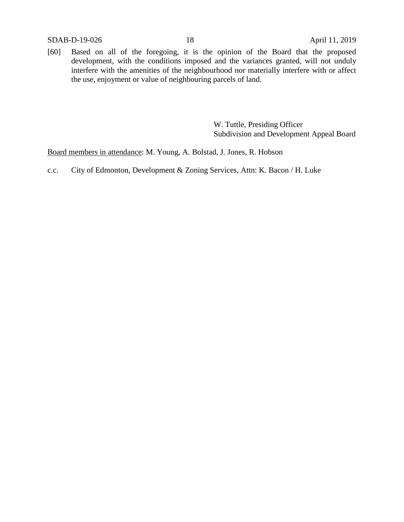SDAB-D-19-026 18 April 11, 2019

[60] Based on all of the foregoing, it is the opinion of the Board that the proposed development, with the conditions imposed and the variances granted, will not unduly interfere with the amenities of the neighbourhood nor materially interfere with or affect the use, enjoyment or value of neighbouring parcels of land.

> W. Tuttle, Presiding Officer Subdivision and Development Appeal Board

Board members in attendance: M. Young, A. Bolstad, J. Jones, R. Hobson

c.c. City of Edmonton, Development & Zoning Services, Attn: K. Bacon / H. Luke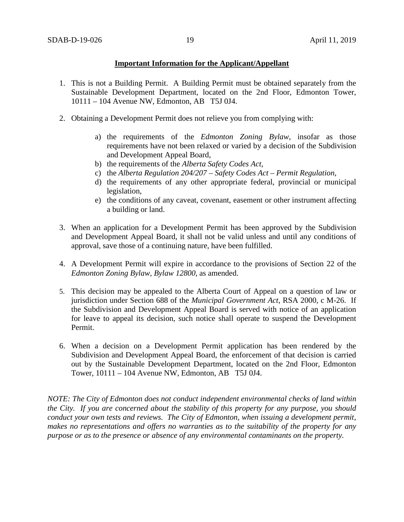### **Important Information for the Applicant/Appellant**

- 1. This is not a Building Permit. A Building Permit must be obtained separately from the Sustainable Development Department, located on the 2nd Floor, Edmonton Tower, 10111 – 104 Avenue NW, Edmonton, AB T5J 0J4.
- 2. Obtaining a Development Permit does not relieve you from complying with:
	- a) the requirements of the *Edmonton Zoning Bylaw*, insofar as those requirements have not been relaxed or varied by a decision of the Subdivision and Development Appeal Board,
	- b) the requirements of the *Alberta Safety Codes Act*,
	- c) the *Alberta Regulation 204/207 – Safety Codes Act – Permit Regulation*,
	- d) the requirements of any other appropriate federal, provincial or municipal legislation,
	- e) the conditions of any caveat, covenant, easement or other instrument affecting a building or land.
- 3. When an application for a Development Permit has been approved by the Subdivision and Development Appeal Board, it shall not be valid unless and until any conditions of approval, save those of a continuing nature, have been fulfilled.
- 4. A Development Permit will expire in accordance to the provisions of Section 22 of the *Edmonton Zoning Bylaw, Bylaw 12800*, as amended.
- 5. This decision may be appealed to the Alberta Court of Appeal on a question of law or jurisdiction under Section 688 of the *Municipal Government Act*, RSA 2000, c M-26. If the Subdivision and Development Appeal Board is served with notice of an application for leave to appeal its decision, such notice shall operate to suspend the Development Permit.
- 6. When a decision on a Development Permit application has been rendered by the Subdivision and Development Appeal Board, the enforcement of that decision is carried out by the Sustainable Development Department, located on the 2nd Floor, Edmonton Tower, 10111 – 104 Avenue NW, Edmonton, AB T5J 0J4.

*NOTE: The City of Edmonton does not conduct independent environmental checks of land within the City. If you are concerned about the stability of this property for any purpose, you should conduct your own tests and reviews. The City of Edmonton, when issuing a development permit, makes no representations and offers no warranties as to the suitability of the property for any purpose or as to the presence or absence of any environmental contaminants on the property.*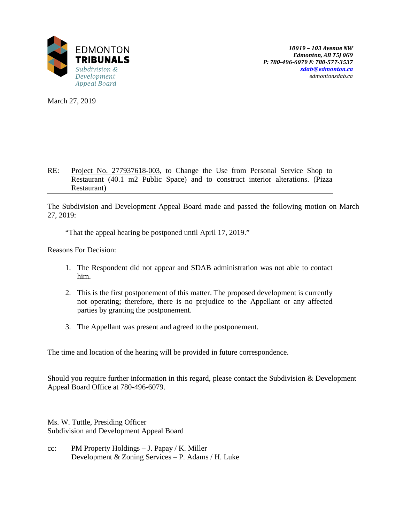

*10019 – 103 Avenue NW Edmonton, AB T5J 0G9 P: 780-496-6079 F: 780-577-3537 [sdab@edmonton.ca](mailto:sdab@edmonton.ca) edmontonsdab.ca*

March 27, 2019

### RE: Project No. 277937618-003, to Change the Use from Personal Service Shop to Restaurant (40.1 m2 Public Space) and to construct interior alterations. (Pizza Restaurant)

The Subdivision and Development Appeal Board made and passed the following motion on March 27, 2019:

"That the appeal hearing be postponed until April 17, 2019."

Reasons For Decision:

- 1. The Respondent did not appear and SDAB administration was not able to contact him.
- 2. This is the first postponement of this matter. The proposed development is currently not operating; therefore, there is no prejudice to the Appellant or any affected parties by granting the postponement.
- 3. The Appellant was present and agreed to the postponement.

The time and location of the hearing will be provided in future correspondence.

Should you require further information in this regard, please contact the Subdivision & Development Appeal Board Office at 780-496-6079.

Ms. W. Tuttle, Presiding Officer Subdivision and Development Appeal Board

cc: PM Property Holdings – J. Papay / K. Miller Development & Zoning Services – P. Adams / H. Luke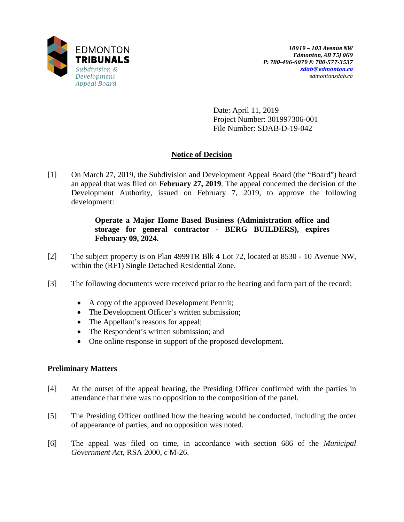

Date: April 11, 2019 Project Number: 301997306-001 File Number: SDAB-D-19-042

# **Notice of Decision**

[1] On March 27, 2019, the Subdivision and Development Appeal Board (the "Board") heard an appeal that was filed on **February 27, 2019**. The appeal concerned the decision of the Development Authority, issued on February 7, 2019, to approve the following development:

## **Operate a Major Home Based Business (Administration office and storage for general contractor - BERG BUILDERS), expires February 09, 2024.**

- [2] The subject property is on Plan 4999TR Blk 4 Lot 72, located at 8530 10 Avenue NW, within the (RF1) Single Detached Residential Zone.
- [3] The following documents were received prior to the hearing and form part of the record:
	- A copy of the approved Development Permit;
	- The Development Officer's written submission;
	- The Appellant's reasons for appeal;
	- The Respondent's written submission; and
	- One online response in support of the proposed development.

## **Preliminary Matters**

- [4] At the outset of the appeal hearing, the Presiding Officer confirmed with the parties in attendance that there was no opposition to the composition of the panel.
- [5] The Presiding Officer outlined how the hearing would be conducted, including the order of appearance of parties, and no opposition was noted.
- [6] The appeal was filed on time, in accordance with section 686 of the *Municipal Government Act*, RSA 2000, c M-26.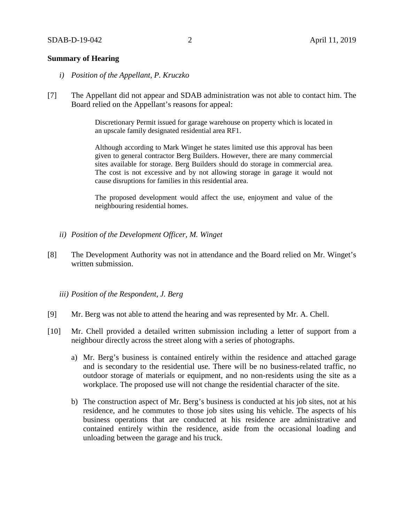### **Summary of Hearing**

- *i) Position of the Appellant, P. Kruczko*
- [7] The Appellant did not appear and SDAB administration was not able to contact him. The Board relied on the Appellant's reasons for appeal:

Discretionary Permit issued for garage warehouse on property which is located in an upscale family designated residential area RF1.

Although according to Mark Winget he states limited use this approval has been given to general contractor Berg Builders. However, there are many commercial sites available for storage. Berg Builders should do storage in commercial area. The cost is not excessive and by not allowing storage in garage it would not cause disruptions for families in this residential area.

The proposed development would affect the use, enjoyment and value of the neighbouring residential homes.

- *ii) Position of the Development Officer, M. Winget*
- [8] The Development Authority was not in attendance and the Board relied on Mr. Winget's written submission.
	- *iii) Position of the Respondent, J. Berg*
- [9] Mr. Berg was not able to attend the hearing and was represented by Mr. A. Chell.
- [10] Mr. Chell provided a detailed written submission including a letter of support from a neighbour directly across the street along with a series of photographs.
	- a) Mr. Berg's business is contained entirely within the residence and attached garage and is secondary to the residential use. There will be no business-related traffic, no outdoor storage of materials or equipment, and no non-residents using the site as a workplace. The proposed use will not change the residential character of the site.
	- b) The construction aspect of Mr. Berg's business is conducted at his job sites, not at his residence, and he commutes to those job sites using his vehicle. The aspects of his business operations that are conducted at his residence are administrative and contained entirely within the residence, aside from the occasional loading and unloading between the garage and his truck.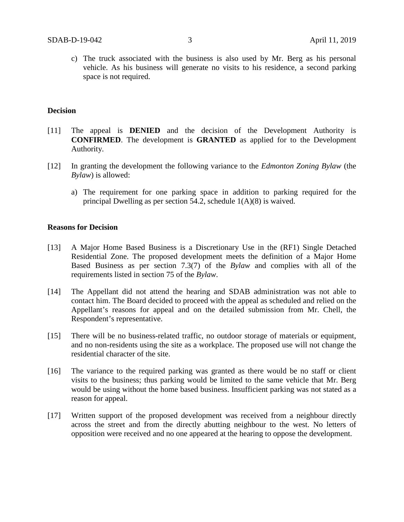c) The truck associated with the business is also used by Mr. Berg as his personal vehicle. As his business will generate no visits to his residence, a second parking space is not required.

### **Decision**

- [11] The appeal is **DENIED** and the decision of the Development Authority is **CONFIRMED**. The development is **GRANTED** as applied for to the Development Authority.
- [12] In granting the development the following variance to the *Edmonton Zoning Bylaw* (the *Bylaw*) is allowed:
	- a) The requirement for one parking space in addition to parking required for the principal Dwelling as per section 54.2, schedule 1(A)(8) is waived.

#### **Reasons for Decision**

- [13] A Major Home Based Business is a Discretionary Use in the (RF1) Single Detached Residential Zone. The proposed development meets the definition of a Major Home Based Business as per section 7.3(7) of the *Bylaw* and complies with all of the requirements listed in section 75 of the *Bylaw*.
- [14] The Appellant did not attend the hearing and SDAB administration was not able to contact him. The Board decided to proceed with the appeal as scheduled and relied on the Appellant's reasons for appeal and on the detailed submission from Mr. Chell, the Respondent's representative.
- [15] There will be no business-related traffic, no outdoor storage of materials or equipment, and no non-residents using the site as a workplace. The proposed use will not change the residential character of the site.
- [16] The variance to the required parking was granted as there would be no staff or client visits to the business; thus parking would be limited to the same vehicle that Mr. Berg would be using without the home based business. Insufficient parking was not stated as a reason for appeal.
- [17] Written support of the proposed development was received from a neighbour directly across the street and from the directly abutting neighbour to the west. No letters of opposition were received and no one appeared at the hearing to oppose the development.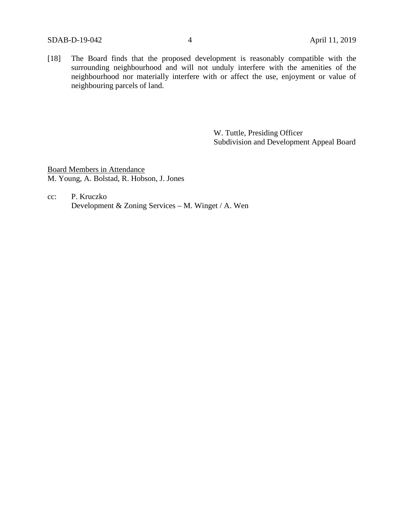[18] The Board finds that the proposed development is reasonably compatible with the surrounding neighbourhood and will not unduly interfere with the amenities of the neighbourhood nor materially interfere with or affect the use, enjoyment or value of neighbouring parcels of land.

> W. Tuttle, Presiding Officer Subdivision and Development Appeal Board

Board Members in Attendance M. Young, A. Bolstad, R. Hobson, J. Jones

cc: P. Kruczko Development & Zoning Services – M. Winget / A. Wen